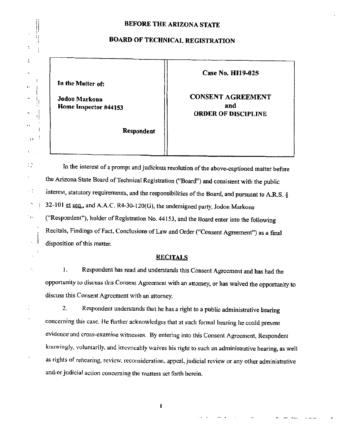# **BEFORE THE ARIZONA STATE**

# **BOARD OF TECHNICAL REGISTRATION**

**In the Matter of:** 

,. I

4  $\cdot$  $\mathbf i$ 

 $\sim$  I. I

"

 $\mathbb{C}^2$ 

 $\bar{\gamma}$  )

 $\ddot{\phantom{0}}$  .

 $\hat{\phantom{a}}$ 

 $\epsilon$  .

 $\ddot{\cdot}$ 

**Home Inspector #44153** 

**Case No. HU9-025** 

**Jodon Markona** *CONSENT AGREEMENT*<br> **Home Inspector #44152** ' I **ORDER OF DISCIPLINE** 'I

**Respondent** 

In the interest of a prompt and judicious resolution of the above-captioned matter before the Arizona State Board of Technical Registration ("Board") and consistent with the public interest. statutory requirements, and the responsibilities of the Board, and pursuant to A.RS. § 32-101  $et$   $seq$ , and A.A.C. R4-30-120(G), the undersigned party, Jodon Markona ("Respondent"), holder of Registration No. 44153, and the Board enter into the following Recitals, Findings of Fact. Conclusions of Law and Order ("Consent Agreement") as a final disposition of this matter.

### RECITALS

L Respondent has read and understands this Consent Agreement and has had the opportunity tu discuss this Consent Agreement with an attorney, or has waived the opportunity to discuss this Consent Agreement with an attorney.

2. Respondent understands that he has a right to a public administrative hearing concerning this case. He further acknowledges that at such formal hearing he could present evidence and cross-examine witnesses. By entering into this Consent Agreement, Respondent knowingly, voluntarily. and irrevocably waives his right to such an administrative hearing, as well as rights of rehearing, review. reconsideration. appeal. judicial review or any other administrative and/or judicial action concerning the matters set forth herein.

 $\mathbf{1}$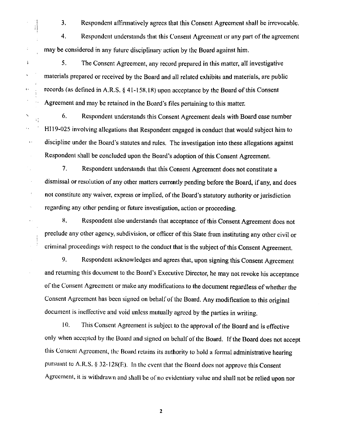3. Respondent atlirmativcly agrees that this Consent Agreement shall be irrevocable.

4. Respondent understands thut this Consent Agreement or any part of the agreement may be considered in any future disciplinary action by the Board against him.

<u>: j</u>

 $\mathcal{L}$ 

ł

 $\hat{\mathbf{z}}$ 

 $\bar{\mathbf{r}}$  .

 $\mathbf{r}$ 

 $\ddot{\phantom{a}}$ 

 $\frac{1}{2}$ 

ų,

5. The Consent Agreement, any record prepared in this matter, all investigative materials prepared or received by the Board and all related exhibits and materials, are public  $\cdot$  records (as defined in A.R.S. § 41-158.18) upon acceptance by the Board of this Consent Agreement and may be retained in the Board's files pertaining to this matter.

 $\sim$  6. Respondent understands this Consent Agreement deals with Board case number HI19-025 involving allegations that Respondent engaged in conduct that would subject him to discipline under the Board's statutes and rules. The investigation into these allegations against Respondent shall be concluded upon the Board's adoption of this Consent Agreement.

7. Respondent understands that this Consent Agreement does not constitute a dismissal or resolution of any other matters currently pending before the Board, if any, and does not constitute any waiver, express or implied, of the Board's statutory authority or jurisdiction regarding any other pending or future investigation, action or proceeding.

8. Respondent also understands that acceptance of this Consent Agreement does not preclude any other agency, subdivision, or officer of this State from instituting any other civil or criminal proceedings with respect to the conduct that is the subject of this Consent Agreement.

9. Respondent acknowledges and agrees that, upon signing this Consent Agreement and returning this document to the Board's Executive Director, he may not revoke his acceptance of the Consent Agreement or make any modifications to the document regardless of whether the Consent Agreement has been signed on behalf of lhc Board. Any modification to this original document is ineffective and void unless mutually agreed by the parties in writing.

10. This Consent Agreement is subject to the approval of the Board and is effective only when accepted by the Board and signed on behalf of the Board. If the Board does not accept this Consent Agreement, the Board retains its authority to hold a fonnal administrative hearing pursuant to A.R.S.  $\S$  32-128(E). In the event that the Board does not approve this Consent Agreement, it is withdrawn and shall be of no evidentiary value and shall not be relied upon nor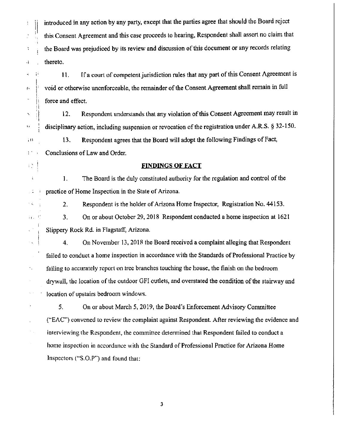introduced in any action by any party, except that the parties agree that should the Board reject ' this Consent Agreement and this case proceeds to hearing, Respondent shall assert no claim that the Board was prejudiced by its review and discussion of this document or any records relating -l thereto.

 $\ddot{\cdot}$ 

Ĵ.

Ņ

Ħ  $\prec$ 

 $\frac{1}{3}$  .  $^4$ 

 $\mathbb{C}^{\mathbb{C}}$ 

 $\ddot{\star}$ 

 $\tilde{\star}$ 

ΥŘ,

 $\ddotsc$ 

Ň,

11. If a court of competent jurisdiction rules that any part of this Consent Agreement is  $\mathbf{v}$  is void or otherwise unenforceable, the remainder of the Consent Agreement shall remain in full force and effect.

 $\sim$  12. Respondent understands that any violation of this Consent Agreement may result in  $\ddot{\theta}$  disciplinary action, including suspension or revocation of the registration under A.R.S. § 32-150. 13. Respondent agrees that the Board will adopt the following Findings of Fact, Conclusions of Law and Order.

### **FINDINGS Of FACT**

1. The Board is the duly constituted authority for the regulation and control of the practice of Home Inspection in the State of Arizona.

2. Respondent is the holder of Arizona Home Inspector, Registration No. 44153.

 $\therefore$  3. On or about October 29, 2018 Respondent conducted a home inspection at 1621 Slippery Rock Rd. in Flagstaff, Arizona.

4. On November 13, 201R the Board received a complaint alleging that Respondent failed to conduct a home inspection in accordance with the Standards of Professional Practice by failing to accurately report on tree branches touching the house, the finish on the bedroom drywall, the location of the outdoor GFI outlets, and overstated the condition of the stairway and location of upstairs bedroom windows.

5. On or about March 5, 2019, the Board's Enforcement Advisory Committee ("EAC") convened to review the complaint against Respondent. After reviewing the evidence and interviewing the Respondent, the committee determined that Respondent failed to conduct a home inspection in accordance with the Standard of Professional Practice for Arizona Home Inspectors ("S.O.P") and found that: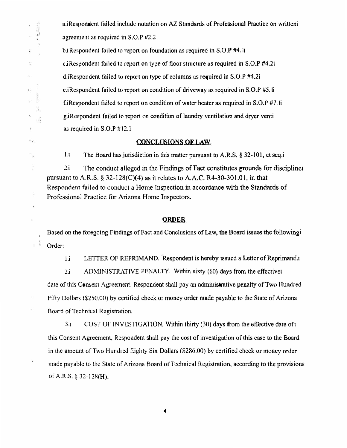a.iRespondent failed include notation on AZ Standards of Professional Practice on writteni agreement as required in  $S.O.P$  #2.2

b. iRespondent failed to report on foundation as required in  $S.O.P$  #4.1i

 $,$ !

í.

Ý

 $\bar{\mathbf{r}}$ 

 $\ddot{\phantom{0}}$ 

 $\mathbb{Z}_{\left\langle \mathbf{w}\right\rangle }^{2}$ 

 $\frac{1}{2}$ 

Ý.

 $\ddot{\phantom{1}}$  $\overline{\overline{a}}$ 

c.iRespondent failed to report on type of floor structure as required in S.O.P #4.2i

d.iRespondent failed to report on type of columns as required in S.O.P #4.2i

e.iRespondent failed to report on condition of driveway as required in S.0.P #5.1i

f.iRespondent failed to report on condition of water heater as required in S.0.P #7.1i

g.iRespondent failed to report on condition of laundry ventilation and dryer venti as required in S.O.P #12.1

#### **CONCLUSIONS OF LAW**

I.i The Board has jurisdiction in this matter pursuant to A.R.S. § 32-10 I, et seq.i

2.i The conduct alleged in the Findings of Paet constitutes grounds for disciplinei pursuant to A.R.S. § 32-128(C)(4) as it relates to A.A.C. R4-30-301.01, in that Respondent failed to conduct a Home Inspection in accordance with the Standards of Professional Practice for Arizona Home Inspectors.

#### **ORDER**

Based on the foregoing Findings of Fact and Conclusions of Law, the Board issues the followingi Order:

I.i LETTER OF REPRIMAND. Respondent is hereby issued a Letter of Reprimand.i

2.i ADMINISTRATIVE PENALTY. Within sixty (60) days from the effectivei date of this Consent Agreement, Respondent shall pay an administrative penalty of Two Hundred Fifty Dollars (\$250.00) by certified check or money order made payable to the State of Arizona Board of Technical Registration.

 $3\mathbf{i}$  COST OF INVESTIGATION. Within thirty (30) days from the effective date ofi this Consent Agreement, Respondent shall pay lhc cost of investigation of this case to the Board in the amount of Two Hundred Eighty Six Dollars (\$286.00) by certified check or money order made payable to lhe State of Arizona Board of Technical Registration, according to the provisions of A.R.S.  $\S$  32-128(H).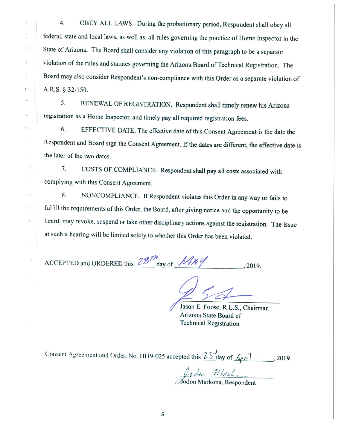4. OBEY ALL LAWS. During the probationary period, Respondent shall obey all federal, state and local laws. as well as, all rules governing the practice of Home Inspector in the State of Arizona. The Board shall consider any violation of this paragraph to be a separate violation of the rules and statutes governing the Arizona Board of Technical Registration. The Board may also consider Respondent's non-compliance with this Order as a separate violation of  $\mathsf{A.R.S.} \S 32-150.$ 

5. RENEWAL OF REGISTRATION. Respondent shall timely renew his Arizona registration as a Horne Inspector, and timely pay all required registration foes.

I

Ì.

 $\frac{\epsilon}{\eta}$ 

÷

4

 $t$  .

 $+ + +$ 

E.

 $\bar{\mathcal{A}}$ 

 $\frac{1}{1}$ 

 $\mathcal{A}_i$ 

 $\epsilon$ 

6. EFFECTIVE DATE. The effective date of this Consent Agreement is the date the Respondent and Board sign the Consent Agreement. If the dates are different, the effective date is the later of the two dates.

7. COSTS OF COMPLIANCE. Respondent shall pay all costs associated with complying with this Consent Agreement.

8. NONCOMPLIANCE. If Respondent violates this Order in any way or fails to fulfill the requirements of this Order, the Board, after giving notice and the opportunity to be heard, may revoke, suspend or take other disciplinary actions against the registration. The issue at such a hearing will be limited solely to whether this Order has been violated.

ACCEPTED and ORDERED this  $\frac{287h}{\text{day of}}$   $\frac{Mnp\gamma}{\gamma}$  , 2019.

Jason E. Foose, R.L.S., Chairman Arizona State Board of Technical Registration

Consent Agreement and Order, No. HI19-025 accepted this  $23'^{h}_{\text{day}}$  of  $\frac{A\rho\dot{\gamma}}{M}$ , 2019.

-d, *tilt',-* <sup>11</sup>*¼ I;* t.h, = ,..;fodon Markona. Respondent